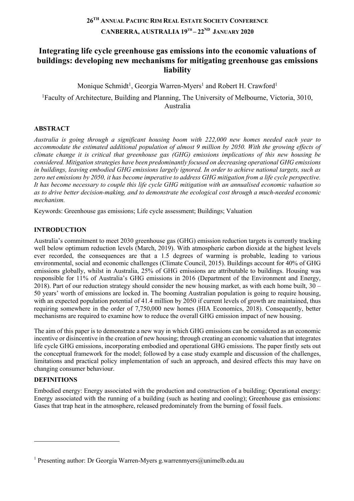# **26TH ANNUAL PACIFIC RIM REAL ESTATE SOCIETY CONFERENCE CANBERRA, AUSTRALIA 19TH – 22ND JANUARY 2020**

# **Integrating life cycle greenhouse gas emissions into the economic valuations of buildings: developing new mechanisms for mitigating greenhouse gas emissions liability**

Monique Schmidt<sup>1</sup>, Georgia Warren-Myers<sup>1</sup> and Robert H. Crawford<sup>1</sup>

<sup>1</sup>Faculty of Architecture, Building and Planning, The University of Melbourne, Victoria, 3010, Australia

## **ABSTRACT**

*Australia is going through a significant housing boom with 222,000 new homes needed each year to accommodate the estimated additional population of almost 9 million by 2050. With the growing effects of climate change it is critical that greenhouse gas (GHG) emissions implications of this new housing be considered. Mitigation strategies have been predominantly focused on decreasing operational GHG emissions in buildings, leaving embodied GHG emissions largely ignored. In order to achieve national targets, such as zero net emissions by 2050, it has become imperative to address GHG mitigation from a life cycle perspective. It has become necessary to couple this life cycle GHG mitigation with an annualised economic valuation so as to drive better decision-making, and to demonstrate the ecological cost through a much-needed economic mechanism.*

Keywords: Greenhouse gas emissions; Life cycle assessment; Buildings; Valuation

## **INTRODUCTION**

Australia's commitment to meet 2030 greenhouse gas (GHG) emission reduction targets is currently tracking well below optimum reduction levels (March, 2019). With atmospheric carbon dioxide at the highest levels ever recorded, the consequences are that a 1.5 degrees of warming is probable, leading to various environmental, social and economic challenges (Climate Council, 2015). Buildings account for 40% of GHG emissions globally, whilst in Australia, 25% of GHG emissions are attributable to buildings. Housing was responsible for 11% of Australia's GHG emissions in 2016 (Department of the Environment and Energy, 2018). Part of our reduction strategy should consider the new housing market, as with each home built,  $30 -$ 50 years' worth of emissions are locked in. The booming Australian population is going to require housing, with an expected population potential of 41.4 million by 2050 if current levels of growth are maintained, thus requiring somewhere in the order of 7,750,000 new homes (HIA Economics, 2018). Consequently, better mechanisms are required to examine how to reduce the overall GHG emission impact of new housing.

The aim of this paper is to demonstrate a new way in which GHG emissions can be considered as an economic incentive or disincentive in the creation of new housing; through creating an economic valuation that integrates life cycle GHG emissions, incorporating embodied and operational GHG emissions. The paper firstly sets out the conceptual framework for the model; followed by a case study example and discussion of the challenges, limitations and practical policy implementation of such an approach, and desired effects this may have on changing consumer behaviour.

### **DEFINITIONS**

Embodied energy: Energy associated with the production and construction of a building; Operational energy: Energy associated with the running of a building (such as heating and cooling); Greenhouse gas emissions: Gases that trap heat in the atmosphere, released predominately from the burning of fossil fuels.

<sup>&</sup>lt;sup>1</sup> Presenting author: Dr Georgia Warren-Myers g.warrenmyers@unimelb.edu.au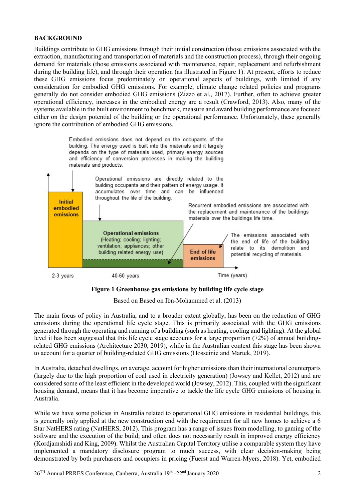### **BACKGROUND**

Buildings contribute to GHG emissions through their initial construction (those emissions associated with the extraction, manufacturing and transportation of materials and the construction process), through their ongoing demand for materials (those emissions associated with maintenance, repair, replacement and refurbishment during the building life), and through their operation (as illustrated in Figure 1). At present, efforts to reduce these GHG emissions focus predominately on operational aspects of buildings, with limited if any consideration for embodied GHG emissions. For example, climate change related policies and programs generally do not consider embodied GHG emissions (Zizzo et al., 2017). Further, often to achieve greater operational efficiency, increases in the embodied energy are a result (Crawford, 2013). Also, many of the systems available in the built environment to benchmark, measure and award building performance are focused either on the design potential of the building or the operational performance. Unfortunately, these generally ignore the contribution of embodied GHG emissions.



#### **Figure 1 Greenhouse gas emissions by building life cycle stage**

Based on Based on Ibn-Mohammed et al. (2013)

The main focus of policy in Australia, and to a broader extent globally, has been on the reduction of GHG emissions during the operational life cycle stage. This is primarily associated with the GHG emissions generated through the operating and running of a building (such as heating, cooling and lighting). At the global level it has been suggested that this life cycle stage accounts for a large proportion (72%) of annual buildingrelated GHG emissions (Architecture 2030, 2019), while in the Australian context this stage has been shown to account for a quarter of building-related GHG emissions (Hosseinie and Martek, 2019).

In Australia, detached dwellings, on average, account for higher emissions than their international counterparts (largely due to the high proportion of coal used in electricity generation) (Jowsey and Kellet, 2012) and are considered some of the least efficient in the developed world (Jowsey, 2012). This, coupled with the significant housing demand, means that it has become imperative to tackle the life cycle GHG emissions of housing in Australia.

While we have some policies in Australia related to operational GHG emissions in residential buildings, this is generally only applied at the new construction end with the requirement for all new homes to achieve a 6 Star NatHERS rating (NatHERS, 2012). This program has a range of issues from modelling, to gaming of the software and the execution of the build; and often does not necessarily result in improved energy efficiency (Kordjamshidi and King, 2009). Whilst the Australian Capital Territory utilise a comparable system they have implemented a mandatory disclosure program to much success, with clear decision-making being demonstrated by both purchasers and occupiers in pricing (Fuerst and Warren-Myers, 2018). Yet, embodied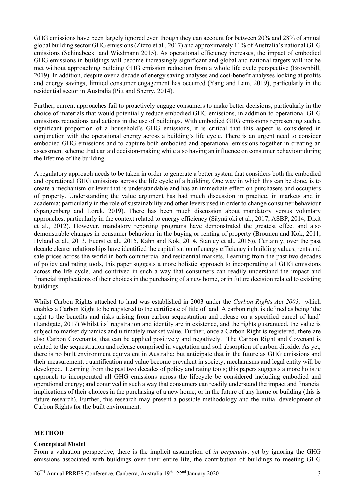GHG emissions have been largely ignored even though they can account for between 20% and 28% of annual global building sector GHG emissions (Zizzo et al., 2017) and approximately 11% of Australia's national GHG emissions (Schinabeck and Wiedmann 2015). As operational efficiency increases, the impact of embodied GHG emissions in buildings will become increasingly significant and global and national targets will not be met without approaching building GHG emission reduction from a whole life cycle perspective (Brownbill, 2019). In addition, despite over a decade of energy saving analyses and cost-benefit analyses looking at profits and energy savings, limited consumer engagement has occurred (Yang and Lam, 2019), particularly in the residential sector in Australia (Pitt and Sherry, 2014).

Further, current approaches fail to proactively engage consumers to make better decisions, particularly in the choice of materials that would potentially reduce embodied GHG emissions, in addition to operational GHG emissions reductions and actions in the use of buildings. With embodied GHG emissions representing such a significant proportion of a household's GHG emissions, it is critical that this aspect is considered in conjunction with the operational energy across a building's life cycle. There is an urgent need to consider embodied GHG emissions and to capture both embodied and operational emissions together in creating an assessment scheme that can aid decision-making while also having an influence on consumer behaviour during the lifetime of the building.

A regulatory approach needs to be taken in order to generate a better system that considers both the embodied and operational GHG emissions across the life cycle of a building. One way in which this can be done, is to create a mechanism or lever that is understandable and has an immediate effect on purchasers and occupiers of property. Understanding the value argument has had much discussion in practice, in markets and in academia; particularly in the role of sustainability and other levers used in order to change consumer behaviour (Spangenberg and Lorek, 2019). There has been much discussion about mandatory versus voluntary approaches, particularly in the context related to energy efficiency (Säynäjoki et al., 2017, ASBP, 2014, Dixit et al., 2012). However, mandatory reporting programs have demonstrated the greatest effect and also demonstrable changes in consumer behaviour in the buying or renting of property (Brounen and Kok, 2011, Hyland et al., 2013, Fuerst et al., 2015, Kahn and Kok, 2014, Stanley et al., 2016)). Certainly, over the past decade clearer relationships have identified the capitalisation of energy efficiency in building values, rents and sale prices across the world in both commercial and residential markets. Learning from the past two decades of policy and rating tools, this paper suggests a more holistic approach to incorporating all GHG emissions across the life cycle, and contrived in such a way that consumers can readily understand the impact and financial implications of their choices in the purchasing of a new home, or in future decision related to existing buildings.

Whilst Carbon Rights attached to land was established in 2003 under the *Carbon Rights Act 2003,* which enables a Carbon Right to be registered to the certificate of title of land. A carbon right is defined as being 'the right to the benefits and risks arising from carbon sequestration and release on a specified parcel of land' (Landgate, 2017).Whilst its' registration and identity are in existence, and the rights guaranteed, the value is subject to market dynamics and ultimately market value. Further, once a Carbon Right is registered, there are also Carbon Covenants, that can be applied positively and negatively. The Carbon Right and Covenant is related to the sequestration and release comprised in vegetation and soil absorption of carbon dioxide. As yet, there is no built environment equivalent in Australia; but anticipate that in the future as GHG emissions and their measurement, quantification and value become prevalent in society; mechanisms and legal entity will be developed. Learning from the past two decades of policy and rating tools; this papers suggests a more holistic approach to incorporated all GHG emissions across the lifecycle be considered including embodied and operational energy; and contrived in such a way that consumers can readily understand the impact and financial implications of their choices in the purchasing of a new home; or in the future of any home or building (this is future research). Further, this research may present a possible methodology and the initial development of Carbon Rights for the built environment.

### **METHOD**

### **Conceptual Model**

From a valuation perspective, there is the implicit assumption of *in perpetuity*, yet by ignoring the GHG emissions associated with buildings over their entire life, the contribution of buildings to meeting GHG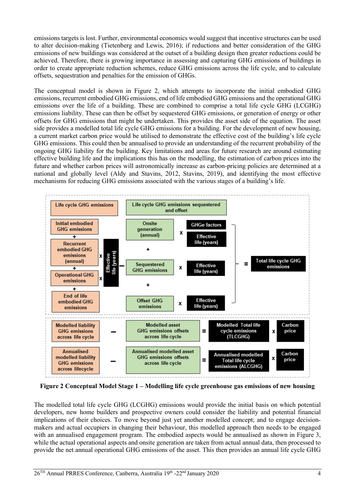emissions targets is lost. Further, environmental economics would suggest that incentive structures can be used to alter decision-making (Tietenberg and Lewis, 2016); if reductions and better consideration of the GHG emissions of new buildings was considered at the outset of a building design then greater reductions could be achieved. Therefore, there is growing importance in assessing and capturing GHG emissions of buildings in order to create appropriate reduction schemes, reduce GHG emissions across the life cycle, and to calculate offsets, sequestration and penalties for the emission of GHGs.

The conceptual model is shown in Figure 2, which attempts to incorporate the initial embodied GHG emissions, recurrent embodied GHG emissions, end of life embodied GHG emissions and the operational GHG emissions over the life of a building. These are combined to comprise a total life cycle GHG (LCGHG) emissions liability. These can then be offset by sequestered GHG emissions, or generation of energy or other offsets for GHG emissions that might be undertaken. This provides the asset side of the equation. The asset side provides a modelled total life cycle GHG emissions for a building. For the development of new housing, a current market carbon price would be utilised to demonstrate the effective cost of the building's life cycle GHG emissions. This could then be annualised to provide an understanding of the recurrent probability of the ongoing GHG liability for the building. Key limitations and areas for future research are around estimating effective building life and the implications this has on the modelling, the estimation of carbon prices into the future and whether carbon prices will astronomically increase as carbon-pricing policies are determined at a national and globally level (Aldy and Stavins, 2012, Stavins, 2019), and identifying the most effective mechanisms for reducing GHG emissions associated with the various stages of a building's life.



**Figure 2 Conceptual Model Stage 1 – Modelling life cycle greenhouse gas emissions of new housing**

The modelled total life cycle GHG (LCGHG) emissions would provide the initial basis on which potential developers, new home builders and prospective owners could consider the liability and potential financial implications of their choices. To move beyond just yet another modelled concept; and to engage decisionmakers and actual occupiers in changing their behaviour, this modelled approach then needs to be engaged with an annualised engagement program. The embodied aspects would be annualised as shown in Figure 3, while the actual operational aspects and onsite generation are taken from actual annual data, then processed to provide the net annual operational GHG emissions of the asset. This then provides an annual life cycle GHG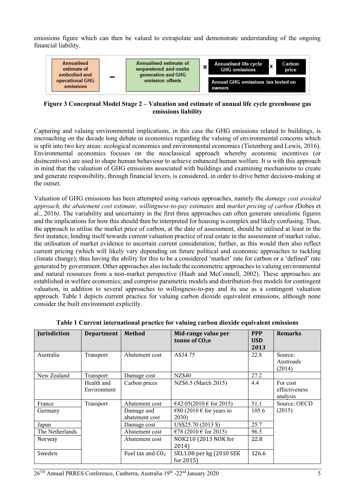emissions figure which can then be valued to extrapolate and demonstrate understanding of the ongoing financial liability.



**Figure 3 Conceptual Model Stage 2 – Valuation and estimate of annual life cycle greenhouse gas emissions liability**

Capturing and valuing environmental implications, in this case the GHG emissions related to buildings, is encroaching on the decade long debate in economics regarding the valuing of environmental concerns which is split into two key areas: ecological economics and environmental economics (Tietenberg and Lewis, 2016). Environmental economics focuses on the neoclassical approach whereby economic incentives (or disincentives) are used to shape human behaviour to achieve enhanced human welfare. It is with this approach in mind that the valuation of GHG emissions associated with buildings and examining mechanisms to create and generate responsibility, through financial levers, is considered, in order to drive better decision-making at the outset.

Valuation of GHG emissions has been attempted using various approaches, namely the *damage cost avoided approach, the abatement cost estimate, willingness-to-pay estimates* and *market pricing of carbon (*Dobes et al., 2016*).* The variability and uncertainty in the first three approaches can often generate unrealistic figures and the implications for how this should then be interpreted for housing is complex and likely confusing. Thus, the approach to utilise the market price of carbon, at the date of assessment, should be utilised at least in the first instance, lending itself towards current valuation practice of real estate in the assessment of market value, the utilisation of market evidence to ascertain current consideration; further, as this would then also reflect current pricing (which will likely vary depending on future political and economic approaches to tackling climate change); thus having the ability for this to be a considered 'market' rate for carbon or a 'defined' rate generated by government. Other approaches also include the econometric approaches to valuing environmental and natural resources from a non-market perspective (Haab and McConnell, 2002). These approaches are established in welfare economics; and comprise parametric models and distribution-free models for contingent valuation, in addition to several approaches to willingness-to-pay and its use as a contingent valuation approach. Table 1 depicts current practice for valuing carbon dioxide equivalent emissions, although none consider the built environment explicitly.

| Jurisdiction    | <b>Department</b>         | <b>Method</b>                | Mid-range value per<br>tonne of CO <sub>2</sub> e | <b>PPP</b><br><b>USD</b> | <b>Remarks</b>                        |
|-----------------|---------------------------|------------------------------|---------------------------------------------------|--------------------------|---------------------------------------|
| Australia       | Transport                 | Abatement cost               | A\$34.75                                          | 2013<br>22.8             | Source:<br>Austroads<br>(2014)        |
| New Zealand     | Transport                 | Damage cost                  | NZ\$40                                            | 27.2                     |                                       |
|                 | Health and<br>Environment | Carbon prices                | NZ\$6.5 (March 2015)                              | 4.4                      | For cost<br>effectiveness<br>analysis |
| France          | Transport                 | Abatement cost               | €42.05(2010 € for 2015)                           | 51.1                     | Source: OECD                          |
| Germany         |                           | Damage and<br>abatement cost | €80 (2010 € for years to<br><b>2030</b>           | 105.6                    | (2015)                                |
| Japan           |                           | Damage cost                  | US\$25.70 (2013 \$)                               | 25.7                     |                                       |
| The Netherlands |                           | Abatement cost               | €78 (2010 € for 2015)                             | 96.5                     |                                       |
| Norway          |                           | Abatement cost               | NOK210 (2013 NOK for<br>2014)                     | 22.8                     |                                       |
| Sweden          |                           | Fuel tax and $CO2$           | SEL1.08 per kg (2010 SEK<br>for $2015$            | 126.6                    |                                       |

|  | Table 1 Current international practice for valuing carbon dioxide equivalent emissions |  |  |  |
|--|----------------------------------------------------------------------------------------|--|--|--|
|  |                                                                                        |  |  |  |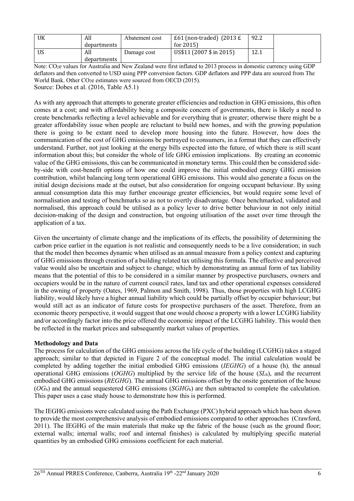| UK  | All<br>departments | Abatement cost | £61 (non-traded) $(2013 \text{ E})$<br>for $2015$ | 92.2 |
|-----|--------------------|----------------|---------------------------------------------------|------|
| US. | All<br>departments | Damage cost    | US\$11 (2007 \$ in 2015)                          | 12.1 |

Note: CO<sub>2</sub>e values for Australia and New Zealand were first inflated to 2013 process in domestic currency using GDP deflators and then converted to USD using PPP conversion factors. GDP deflators and PPP data are sourced from The World Bank. Other  $CO<sub>2</sub>e$  estimates were sourced from OECD (2015). Source: Dobes et al. (2016, Table A5.1)

As with any approach that attempts to generate greater efficiencies and reduction in GHG emissions, this often comes at a cost; and with affordability being a composite concern of governments, there is likely a need to create benchmarks reflecting a level achievable and for everything that is greater; otherwise there might be a greater affordability issue when people are reluctant to build new homes, and with the growing population there is going to be extant need to develop more housing into the future. However, how does the communication of the cost of GHG emissions be portrayed to consumers, in a format that they can effectively understand. Further, not just looking at the energy bills expected into the future, of which there is still scant information about this; but consider the whole of life GHG emission implications. By creating an economic value of the GHG emissions, this can be communicated in monetary terms. This could then be considered sideby-side with cost-benefit options of how one could improve the initial embodied energy GHG emission contribution, whilst balancing long term operational GHG emissions. This would also generate a focus on the initial design decisions made at the outset, but also consideration for ongoing occupant behaviour. By using annual consumption data this may further encourage greater efficiencies, but would require some level of normalisation and testing of benchmarks so as not to overtly disadvantage. Once benchmarked, validated and normalised, this approach could be utilised as a policy lever to drive better behaviour in not only initial decision-making of the design and construction, but ongoing utilisation of the asset over time through the application of a tax.

Given the uncertainty of climate change and the implications of its effects, the possibility of determining the carbon price earlier in the equation is not realistic and consequently needs to be a live consideration; in such that the model then becomes dynamic when utilised as an annual measure from a policy context and capturing of GHG emissions through creation of a building related tax utilising this formula. The effective and perceived value would also be uncertain and subject to change; which by demonstrating an annual form of tax liability means that the potential of this to be considered in a similar manner by prospective purchasers, owners and occupiers would be in the nature of current council rates, land tax and other operational expenses considered in the owning of property (Oates, 1969, Palmon and Smith, 1998). Thus, those properties with high LCGHG liability, would likely have a higher annual liability which could be partially offset by occupier behaviour; but would still act as an indicator of future costs for prospective purchasers of the asset. Therefore, from an economic theory perspective, it would suggest that one would choose a property with a lower LCGHG liability and/or accordingly factor into the price offered the economic impact of the LCGHG liability. This would then be reflected in the market prices and subsequently market values of properties.

### **Methodology and Data**

The process for calculation of the GHG emissions across the life cycle of the building (LCGHG) takes a staged approach; similar to that depicted in Figure 2 of the conceptual model. The initial calculation would be completed by adding together the initial embodied GHG emissions (*IEGHG*) of a house (h)*,* the annual operational GHG emissions (*OGHG*) multiplied by the service life of the house (*SL*h), and the recurrent embodied GHG emissions (*REGHG*). The annual GHG emissions offset by the onsite generation of the house (*OG*h) and the annual sequestered GHG emissions (*SGHG*h) are then subtracted to complete the calculation. This paper uses a case study house to demonstrate how this is performed.

The IEGHG emissions were calculated using the Path Exchange (PXC) hybrid approach which has been shown to provide the most comprehensive analysis of embodied emissions compared to other approaches (Crawford, 2011). The IEGHG of the main materials that make up the fabric of the house (such as the ground floor; external walls; internal walls; roof and internal finishes) is calculated by multiplying specific material quantities by an embodied GHG emissions coefficient for each material.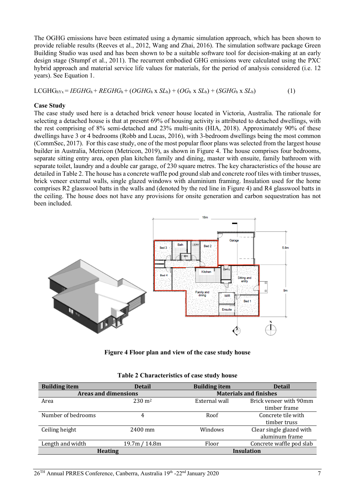The OGHG emissions have been estimated using a dynamic simulation approach, which has been shown to provide reliable results (Reeves et al., 2012, Wang and Zhai, 2016). The simulation software package Green Building Studio was used and has been shown to be a suitable software tool for decision-making at an early design stage (Stumpf et al., 2011). The recurrent embodied GHG emissions were calculated using the PXC hybrid approach and material service life values for materials, for the period of analysis considered (i.e. 12 years). See Equation 1.

 $LCGHG<sub>hYx</sub> = IEGHG<sub>h</sub> + REGHG<sub>h</sub> + (OGHG<sub>h</sub> × SL<sub>h</sub>) + (OG<sub>h</sub> × SL<sub>h</sub>) + (SGHG<sub>h</sub> × SL<sub>h</sub>)$  (1)

#### **Case Study**

The case study used here is a detached brick veneer house located in Victoria, Australia. The rationale for selecting a detached house is that at present 69% of housing activity is attributed to detached dwellings, with the rest comprising of 8% semi-detached and 23% multi-units (HIA, 2018). Approximately 90% of these dwellings have 3 or 4 bedrooms (Robb and Lucas, 2016), with 3-bedroom dwellings being the most common (CommSec, 2017). For this case study, one of the most popular floor plans was selected from the largest house builder in Australia, Metricon (Metricon, 2019), as shown in Figure 4. The house comprises four bedrooms, separate sitting entry area, open plan kitchen family and dining, master with ensuite, family bathroom with separate toilet, laundry and a double car garage, of 230 square metres. The key characteristics of the house are detailed in Table 2. The house has a concrete waffle pod ground slab and concrete roof tiles with timber trusses, brick veneer external walls, single glazed windows with aluminium framing. Insulation used for the home comprises R2 glasswool batts in the walls and (denoted by the red line in Figure 4) and R4 glasswool batts in the ceiling. The house does not have any provisions for onsite generation and carbon sequestration has not been included.



**Figure 4 Floor plan and view of the case study house**

| <b>Building item</b>        | <b>Detail</b>     | <b>Building item</b> | <b>Detail</b>                          |
|-----------------------------|-------------------|----------------------|----------------------------------------|
| <b>Areas and dimensions</b> |                   |                      | <b>Materials and finishes</b>          |
| Area                        | $230 \text{ m}^2$ | External wall        | Brick veneer with 90mm<br>timber frame |
| Number of bedrooms          | 4                 | Roof                 | Concrete tile with                     |
|                             |                   |                      | timber truss                           |
| Ceiling height              | 2400 mm           | Windows              | Clear single glazed with               |
|                             |                   |                      | aluminum frame                         |
| Length and width            | 19.7m / 14.8m     | Floor                | Concrete waffle pod slab               |
| <b>Heating</b>              |                   |                      | <b>Insulation</b>                      |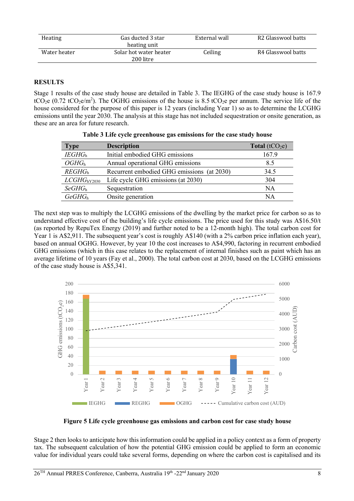| Heating      | Gas ducted 3 star<br>heating unit   | External wall | R <sub>2</sub> Glasswool batts |
|--------------|-------------------------------------|---------------|--------------------------------|
| Water heater | Solar hot water heater<br>200 litre | Ceiling       | R4 Glasswool batts             |

### **RESULTS**

Stage 1 results of the case study house are detailed in Table 3. The IEGHG of the case study house is 167.9 tCO<sub>2</sub>e (0.72 tCO<sub>2</sub>e/m<sup>2</sup>). The OGHG emissions of the house is 8.5 tCO<sub>2</sub>e per annum. The service life of the house considered for the purpose of this paper is 12 years (including Year 1) so as to determine the LCGHG emissions until the year 2030. The analysis at this stage has not included sequestration or onsite generation, as these are an area for future research.

| <b>Type</b>             | <b>Description</b>                         | Total $(tCO2e)$ |
|-------------------------|--------------------------------------------|-----------------|
| IEGHG <sub>h</sub>      | Initial embodied GHG emissions             | 167.9           |
| OGHG <sub>h</sub>       | Annual operational GHG emissions           | 8.5             |
| REGHG <sub>h</sub>      | Recurrent embodied GHG emissions (at 2030) | 34.5            |
| LCGHG <sub>hY2030</sub> | Life cycle GHG emissions (at 2030)         | 304             |
| SeGHG <sub>h</sub>      | Sequestration                              | NA              |
| GeGHG <sub>h</sub>      | Onsite generation                          | ΝA              |

|  | Table 3 Life cycle greenhouse gas emissions for the case study house |
|--|----------------------------------------------------------------------|
|  |                                                                      |

The next step was to multiply the LCGHG emissions of the dwelling by the market price for carbon so as to understand effective cost of the building's life cycle emissions. The price used for this study was A\$16.50/t (as reported by RepuTex Energy (2019) and further noted to be a 12-month high). The total carbon cost for Year 1 is A\$2,911. The subsequent year's cost is roughly A\$140 (with a 2% carbon price inflation each year), based on annual OGHG. However, by year 10 the cost increases to A\$4,990, factoring in recurrent embodied GHG emissions (which in this case relates to the replacement of internal finishes such as paint which has an average lifetime of 10 years (Fay et al., 2000). The total carbon cost at 2030, based on the LCGHG emissions of the case study house is A\$5,341.



**Figure 5 Life cycle greenhouse gas emissions and carbon cost for case study house**

Stage 2 then looks to anticipate how this information could be applied in a policy context as a form of property tax. The subsequent calculation of how the potential GHG emission could be applied to form an economic value for individual years could take several forms, depending on where the carbon cost is capitalised and its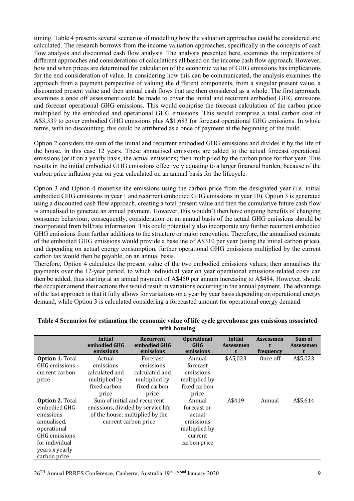timing. Table 4 presents several scenarios of modelling how the valuation approaches could be considered and calculated. The research borrows from the income valuation approaches, specifically in the concepts of cash flow analysis and discounted cash flow analysis. The analysis presented here, examines the implications of different approaches and considerations of calculations all based on the income cash flow approach. However, how and when prices are determined for calculation of the economic value of GHG emissions has implications for the end consideration of value. In considering how this can be communicated, the analysis examines the approach from a payment perspective of valuing the different components, from a singular present value, a discounted present value and then annual cash flows that are then considered as a whole. The first approach, examines a once off assessment could be made to cover the initial and recurrent embodied GHG emissions and forecast operational GHG emissions. This would comprise the forecast calculation of the carbon price multiplied by the embodied and operational GHG emissions. This would comprise a total carbon cost of A\$3,339 to cover embodied GHG emissions plus A\$1,683 for forecast operational GHG emissions. In whole terms, with no discounting, this could be attributed as a once of payment at the beginning of the build.

Option 2 considers the sum of the initial and recurrent embodied GHG emissions and divides it by the life of the house, in this case 12 years. These annualised emissions are added to the actual forecast operational emissions (or if on a yearly basis, the actual emissions) then multiplied by the carbon price for that year. This results in the initial embodied GHG emissions effectively equating to a larger financial burden, because of the carbon price inflation year on year calculated on an annual basis for the lifecycle.

Option 3 and Option 4 monetise the emissions using the carbon price from the designated year (i.e. initial embodied GHG emissions in year 1 and recurrent embodied GHG emissions in year 10). Option 3 is generated using a discounted cash flow approach, creating a total present value and then the cumulative future cash flow is annualised to generate an annual payment. However, this wouldn't then have ongoing benefits of changing consumer behaviour; consequently, consideration on an annual basis of the actual GHG emissions should be incorporated from bill/rate information. This could potentially also incorporate any further recurrent embodied GHG emissions from further additions to the structure or major renovation. Therefore, the annualised estimate of the embodied GHG emissions would provide a baseline of A\$310 per year (using the initial carbon price), and depending on actual energy consumption, further operational GHG emissions multiplied by the current carbon tax would then be payable, on an annual basis.

Therefore, Option 4 calculates the present value of the two embodied emissions values; then annualises the payments over the 12-year period, to which individual year on year operational emissions-related costs can then be added, thus starting at an annual payment of A\$450 per annum increasing to A\$484. However, should the occupier amend their actions this would result in variations occurring in the annual payment. The advantage of the last approach is that it fully allows for variations on a year by year basis depending on operational energy demand, while Option 3 is calculated considering a forecasted amount for operational energy demand.

|                        | <b>Initial</b>                     | <b>Recurrent</b>             | <b>Operational</b> | <b>Initial</b>   | <b>Assessmen</b> | Sum of           |
|------------------------|------------------------------------|------------------------------|--------------------|------------------|------------------|------------------|
|                        | embodied GHG                       | embodied GHG                 | <b>GHG</b>         | <b>Assessmen</b> |                  | <b>Assessmen</b> |
|                        | emissions                          | emissions                    | emissions          |                  | frequency        | t                |
| <b>Option 1. Total</b> | Actual                             | Forecast                     | Annual             | \$A5,023         | Once off         | A\$5,023         |
| GHG emissions -        | emissions                          | emissions                    | forecast           |                  |                  |                  |
| current carbon         | calculated and                     | calculated and               | emissions          |                  |                  |                  |
| price                  | multiplied by                      | multiplied by                | multiplied by      |                  |                  |                  |
|                        | fixed carbon                       | fixed carbon                 | fixed carbon       |                  |                  |                  |
|                        | price                              | price                        | price              |                  |                  |                  |
| <b>Option 2. Total</b> |                                    | Sum of initial and recurrent | Annual             | A\$419           | Annual           | A\$5,614         |
| embodied GHG           | emissions, divided by service life |                              | forecast or        |                  |                  |                  |
| emissions              | of the house, multiplied by the    |                              | actual             |                  |                  |                  |
| annualised,            | current carbon price               |                              | emissions          |                  |                  |                  |
| operational            |                                    |                              | multiplied by      |                  |                  |                  |
| GHG emissions          |                                    |                              | current            |                  |                  |                  |
| for individual         |                                    |                              | carbon price       |                  |                  |                  |
| years x yearly         |                                    |                              |                    |                  |                  |                  |
| carbon price           |                                    |                              |                    |                  |                  |                  |

#### **Table 4 Scenarios for estimating the economic value of life cycle greenhouse gas emissions associated with housing**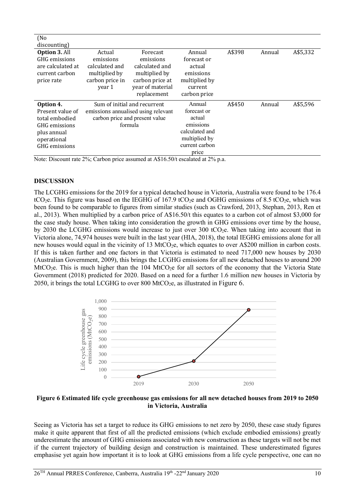| (No                  |                 |                                     |                |        |        |          |
|----------------------|-----------------|-------------------------------------|----------------|--------|--------|----------|
| discounting)         |                 |                                     |                |        |        |          |
| <b>Option 3. All</b> | Actual          | Forecast                            | Annual         | A\$398 | Annual | A\$5,332 |
| GHG emissions        | emissions       | emissions                           | forecast or    |        |        |          |
| are calculated at    | calculated and  | calculated and                      | actual         |        |        |          |
| current carbon       | multiplied by   | multiplied by                       | emissions      |        |        |          |
| price rate           | carbon price in | carbon price at                     | multiplied by  |        |        |          |
|                      | year 1          | year of material                    | current        |        |        |          |
|                      |                 | replacement                         | carbon price   |        |        |          |
| Option 4.            |                 | Sum of initial and recurrent        | Annual         | A\$450 | Annual | A\$5,596 |
| Present value of     |                 | emissions annualised using relevant | forecast or    |        |        |          |
| total embodied       |                 | carbon price and present value      | actual         |        |        |          |
| GHG emissions        |                 | formula                             | emissions      |        |        |          |
| plus annual          |                 |                                     | calculated and |        |        |          |
| operational          |                 |                                     | multiplied by  |        |        |          |
| GHG emissions        |                 |                                     | current carbon |        |        |          |
|                      |                 |                                     | price          |        |        |          |

Note: Discount rate 2%; Carbon price assumed at A\$16.50/t escalated at 2% p.a.

#### **DISCUSSION**

The LCGHG emissions for the 2019 for a typical detached house in Victoria, Australia were found to be 176.4 tCO<sub>2</sub>e. This figure was based on the IEGHG of 167.9 tCO<sub>2</sub>e and OGHG emissions of 8.5 tCO<sub>2</sub>e, which was been found to be comparable to figures from similar studies (such as Crawford, 2013, Stephan, 2013, Ren et al., 2013). When multiplied by a carbon price of A\$16.50/t this equates to a carbon cot of almost \$3,000 for the case study house. When taking into consideration the growth in GHG emissions over time by the house, by 2030 the LCGHG emissions would increase to just over 300 tCO<sub>2</sub>e. When taking into account that in Victoria alone, 74,974 houses were built in the last year (HIA, 2018), the total IEGHG emissions alone for all new houses would equal in the vicinity of 13 MtCO<sub>2</sub>e, which equates to over A\$200 million in carbon costs. If this is taken further and one factors in that Victoria is estimated to need 717,000 new houses by 2030 (Australian Government, 2009), this brings the LCGHG emissions for all new detached houses to around 200 MtCO<sub>2</sub>e. This is much higher than the 104 MtCO<sub>2</sub>e for all sectors of the economy that the Victoria State Government (2018) predicted for 2020. Based on a need for a further 1.6 million new houses in Victoria by 2050, it brings the total LCGHG to over 800 MtCO<sub>2</sub>e, as illustrated in Figure 6.



**Figure 6 Estimated life cycle greenhouse gas emissions for all new detached houses from 2019 to 2050 in Victoria, Australia**

Seeing as Victoria has set a target to reduce its GHG emissions to net zero by 2050, these case study figures make it quite apparent that first of all the predicted emissions (which exclude embodied emissions) greatly underestimate the amount of GHG emissions associated with new construction as these targets will not be met if the current trajectory of building design and construction is maintained. These underestimated figures emphasise yet again how important it is to look at GHG emissions from a life cycle perspective, one can no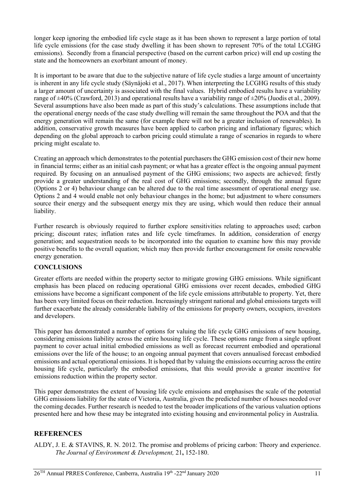longer keep ignoring the embodied life cycle stage as it has been shown to represent a large portion of total life cycle emissions (for the case study dwelling it has been shown to represent 70% of the total LCGHG emissions). Secondly from a financial perspective (based on the current carbon price) will end up costing the state and the homeowners an exorbitant amount of money.

It is important to be aware that due to the subjective nature of life cycle studies a large amount of uncertainty is inherent in any life cycle study (Säynäjoki et al., 2017). When interpreting the LCGHG results of this study a larger amount of uncertainty is associated with the final values. Hybrid embodied results have a variability range of  $\pm 40\%$  (Crawford, 2013) and operational results have a variability range of  $\pm 20\%$  (Juodis et al., 2009). Several assumptions have also been made as part of this study's calculations. These assumptions include that the operational energy needs of the case study dwelling will remain the same throughout the POA and that the energy generation will remain the same (for example there will not be a greater inclusion of renewables). In addition, conservative growth measures have been applied to carbon pricing and inflationary figures; which depending on the global approach to carbon pricing could stimulate a range of scenarios in regards to where pricing might escalate to.

Creating an approach which demonstrates to the potential purchasers the GHG emission cost of their new home in financial terms; either as an initial cash payment; or what has a greater effect is the ongoing annual payment required. By focusing on an annualised payment of the GHG emissions; two aspects are achieved; firstly provide a greater understanding of the real cost of GHG emissions; secondly, through the annual figure (Options 2 or 4) behaviour change can be altered due to the real time assessment of operational energy use. Options 2 and 4 would enable not only behaviour changes in the home; but adjustment to where consumers source their energy and the subsequent energy mix they are using, which would then reduce their annual liability.

Further research is obviously required to further explore sensitivities relating to approaches used; carbon pricing; discount rates; inflation rates and life cycle timeframes. In addition, consideration of energy generation; and sequestration needs to be incorporated into the equation to examine how this may provide positive benefits to the overall equation; which may then provide further encouragement for onsite renewable energy generation.

### **CONCLUSIONS**

Greater efforts are needed within the property sector to mitigate growing GHG emissions. While significant emphasis has been placed on reducing operational GHG emissions over recent decades, embodied GHG emissions have become a significant component of the life cycle emissions attributable to property. Yet, there has been very limited focus on their reduction. Increasingly stringent national and global emissions targets will further exacerbate the already considerable liability of the emissions for property owners, occupiers, investors and developers.

This paper has demonstrated a number of options for valuing the life cycle GHG emissions of new housing, considering emissions liability across the entire housing life cycle. These options range from a single upfront payment to cover actual initial embodied emissions as well as forecast recurrent embodied and operational emissions over the life of the house; to an ongoing annual payment that covers annualised forecast embodied emissions and actual operational emissions. It is hoped that by valuing the emissions occurring across the entire housing life cycle, particularly the embodied emissions, that this would provide a greater incentive for emissions reduction within the property sector.

This paper demonstrates the extent of housing life cycle emissions and emphasises the scale of the potential GHG emissions liability for the state of Victoria, Australia, given the predicted number of houses needed over the coming decades. Further research is needed to test the broader implications of the various valuation options presented here and how these may be integrated into existing housing and environmental policy in Australia.

## **REFERENCES**

ALDY, J. E. & STAVINS, R. N. 2012. The promise and problems of pricing carbon: Theory and experience. *The Journal of Environment & Development,* 21**,** 152-180.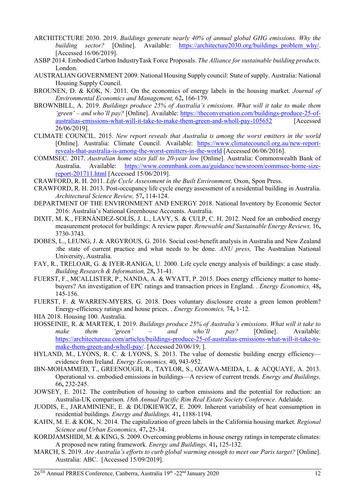- ARCHITECTURE 2030. 2019. *Buildings generate nearly 40% of annual global GHG emissions. Why the building sector?* [Online]. Available: https://architecture2030.org/buildings problem why/. [Accessed 16/06/2019].
- ASBP 2014. Embodied Carbon IndustryTask Force Proposals. *The Alliance for sustainable building products.* London.
- AUSTRALIAN GOVERNMENT 2009. National Housing Supply council: State of supply. Australia: National Housing Supply Council.
- BROUNEN, D. & KOK, N. 2011. On the economics of energy labels in the housing market. *Journal of Environmental Economics and Management,* 62**,** 166-179.
- BROWNBILL, A. 2019. *Buildings produce 25% of Australia's emissions. What will it take to make them*  'green' – and who'll pay? [Online]. Available: https://theconversation.com/buildings-produce-25-ofaustralias-emissions-what-will-it-take-to-make-them-green-and-wholl-pay-105652 [Accessed 26/06/2019].
- CLIMATE COUNCIL. 2015. *New report reveals that Australia is among the worst emitters in the world*  [Online]. Australia: Climate Council. Available: https://www.climatecouncil.org.au/new-reportreveals-that-australia-is-among-the-worst-emitters-in-the-world [Accessed 06/06/2016].
- COMMSEC. 2017. *Australian home sizes fall to 20-year low* [Online]. Australia: Commonwealth Bank of Australia. Available: https://www.commbank.com.au/guidance/newsroom/commsec-home-sizereport-201711.html [Accessed 15/06/2019].
- CRAWFORD, R. H. 2011. *Life Cycle Assessment in the Built Environment,* Oxon, Spon Press.
- CRAWFORD, R. H. 2013. Post-occupancy life cycle energy assessment of a residential building in Australia. *Architectural Science Review,* 57**,** 114-124.
- DEPARTMENT OF THE ENVIRONMENT AND ENERGY 2018. National Inventory by Economic Sector 2016: Australia's National Greenhouse Accounts. Australia.
- DIXIT, M. K., FERNÁNDEZ-SOLÍS, J. L., LAVY, S. & CULP, C. H. 2012. Need for an embodied energy measurement protocol for buildings: A review paper. *Renewable and Sustainable Energy Reviews,* 16**,** 3730-3743.
- DOBES, L., LEUNG, J. & ARGYROUS, G. 2016. Social cost-benefit analysis in Australia and New Zealand :the state of current practice and what needs to be done. *ANU press,* The Australian National University, Australia.
- FAY, R., TRELOAR, G. & IYER-RANIGA, U. 2000. Life cycle energy analysis of buildings: a case study. *Building Research & Information,* 28**,** 31-41.
- FUERST, F., MCALLISTER, P., NANDA, A. & WYATT, P. 2015. Does energy efficiency matter to homebuyers? An investigation of EPC ratings and transaction prices in England. . *Energy Economics,* 48**,** 145-156.
- FUERST, F. & WARREN-MYERS, G. 2018. Does voluntary disclosure create a green lemon problem? Energy-efficiency ratings and house prices. . *Energy Economics,* 74**,** 1-12.
- HIA 2018. Housing 100. Australia.
- HOSSEINIE, R. & MARTEK, I. 2019. *Buildings produce 25% of Australia's emissions. What will it take to make them 'green' – and who'll pay?* [Online]. Available: https://architectureau.com/articles/buildings-produce-25-of-australias-emissions-what-will-it-take-tomake-them-green-and-wholl-pay/. [Accessed 20/06/19; ].
- HYLAND, M., LYONS, R. C. & LYONS, S. 2013. The value of domestic building energy efficiencyevidence from Ireland. *Energy Economics,* 40**,** 943-952.
- IBN-MOHAMMED, T., GREENOUGH, R., TAYLOR, S., OZAWA-MEIDA, L. & ACQUAYE, A. 2013. Operational vs. embodied emissions in buildings—A review of current trends. *Energy and Buildings,* 66**,** 232-245.
- JOWSEY, E. 2012. The contribution of housing to carbon emissions and the potential for reduction: an Australia-UK comparison. *18th Annual Pacific Rim Real Estate Society Conference.* Adelaide.
- JUODIS, E., JARAMINIENE, E. & DUDKIEWICZ, E. 2009. Inherent variability of heat consumption in residential buildings. *Energy and Buildings,* 41**,** 1188-1194.
- KAHN, M. E. & KOK, N. 2014. The capitalization of green labels in the California housing market. *Regional Science and Urban Economics,* 47**,** 25-34.
- KORDJAMSHIDI, M. & KING, S. 2009. Overcoming problems in house energy ratings in temperate climates: A proposed new rating framework. *Energy and Buildings,* 41**,** 125-132.
- MARCH, S. 2019. *Are Australia's efforts to curb global warming enough to meet our Paris target?* [Online]. Australia: ABC. [Accessed 15/09/2019].

 $26<sup>TH</sup>$  Annual PRRES Conference, Canberra, Australia  $19<sup>th</sup>$  -22<sup>nd</sup> January 2020